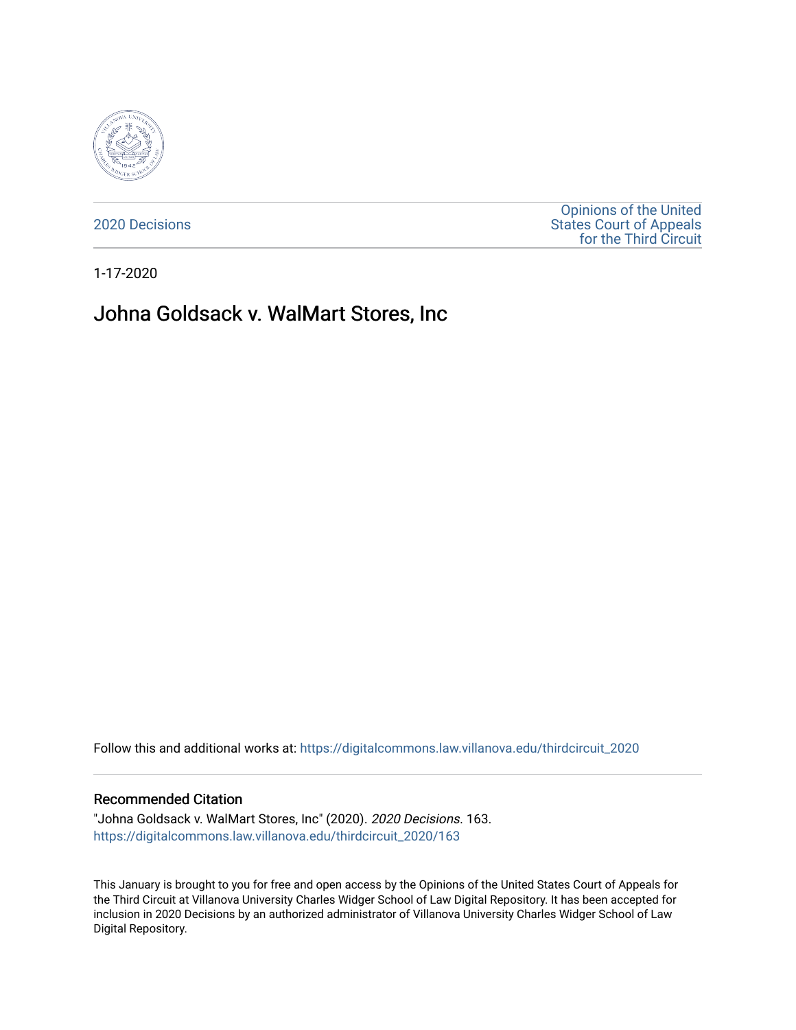

[2020 Decisions](https://digitalcommons.law.villanova.edu/thirdcircuit_2020)

[Opinions of the United](https://digitalcommons.law.villanova.edu/thirdcircuit)  [States Court of Appeals](https://digitalcommons.law.villanova.edu/thirdcircuit)  [for the Third Circuit](https://digitalcommons.law.villanova.edu/thirdcircuit) 

1-17-2020

# Johna Goldsack v. WalMart Stores, Inc

Follow this and additional works at: [https://digitalcommons.law.villanova.edu/thirdcircuit\\_2020](https://digitalcommons.law.villanova.edu/thirdcircuit_2020?utm_source=digitalcommons.law.villanova.edu%2Fthirdcircuit_2020%2F163&utm_medium=PDF&utm_campaign=PDFCoverPages) 

#### Recommended Citation

"Johna Goldsack v. WalMart Stores, Inc" (2020). 2020 Decisions. 163. [https://digitalcommons.law.villanova.edu/thirdcircuit\\_2020/163](https://digitalcommons.law.villanova.edu/thirdcircuit_2020/163?utm_source=digitalcommons.law.villanova.edu%2Fthirdcircuit_2020%2F163&utm_medium=PDF&utm_campaign=PDFCoverPages)

This January is brought to you for free and open access by the Opinions of the United States Court of Appeals for the Third Circuit at Villanova University Charles Widger School of Law Digital Repository. It has been accepted for inclusion in 2020 Decisions by an authorized administrator of Villanova University Charles Widger School of Law Digital Repository.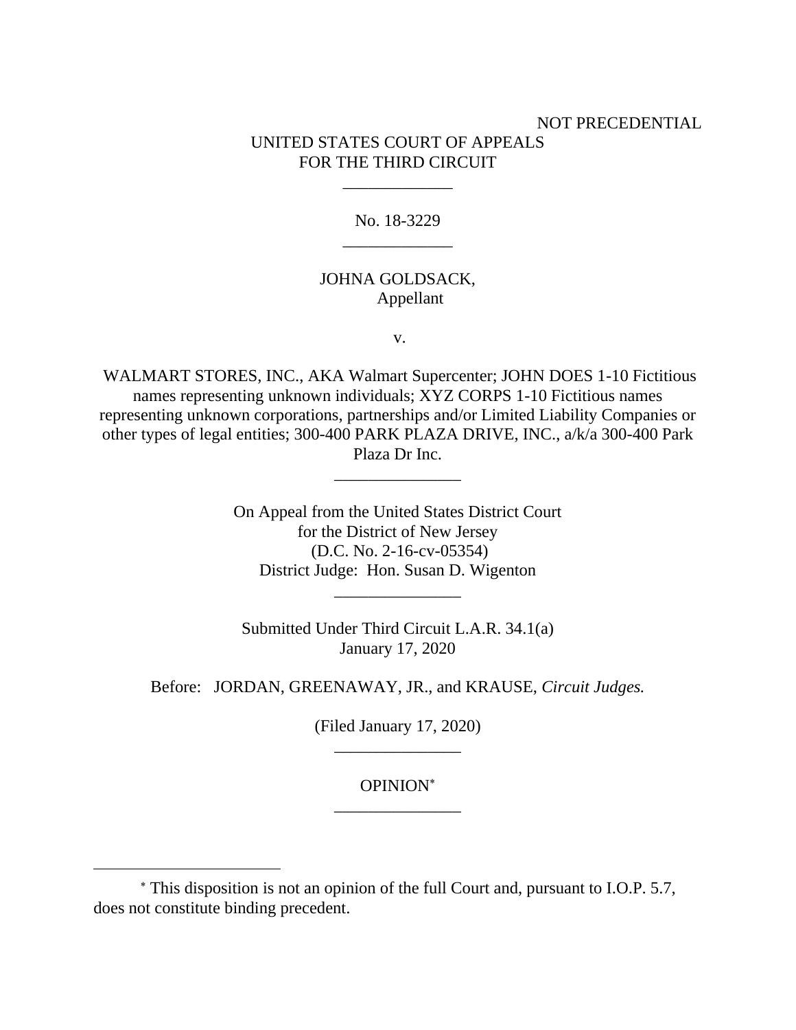## NOT PRECEDENTIAL UNITED STATES COURT OF APPEALS FOR THE THIRD CIRCUIT

No. 18-3229 \_\_\_\_\_\_\_\_\_\_\_\_\_

\_\_\_\_\_\_\_\_\_\_\_\_\_

### JOHNA GOLDSACK, Appellant

v.

WALMART STORES, INC., AKA Walmart Supercenter; JOHN DOES 1-10 Fictitious names representing unknown individuals; XYZ CORPS 1-10 Fictitious names representing unknown corporations, partnerships and/or Limited Liability Companies or other types of legal entities; 300-400 PARK PLAZA DRIVE, INC., a/k/a 300-400 Park Plaza Dr Inc.

\_\_\_\_\_\_\_\_\_\_\_\_\_\_\_

On Appeal from the United States District Court for the District of New Jersey (D.C. No. 2-16-cv-05354) District Judge: Hon. Susan D. Wigenton \_\_\_\_\_\_\_\_\_\_\_\_\_\_\_

Submitted Under Third Circuit L.A.R. 34.1(a) January 17, 2020

Before: JORDAN, GREENAWAY, JR., and KRAUSE, *Circuit Judges.*

(Filed January 17, 2020) \_\_\_\_\_\_\_\_\_\_\_\_\_\_\_

## OPINION \_\_\_\_\_\_\_\_\_\_\_\_\_\_\_

This disposition is not an opinion of the full Court and, pursuant to I.O.P. 5.7, does not constitute binding precedent.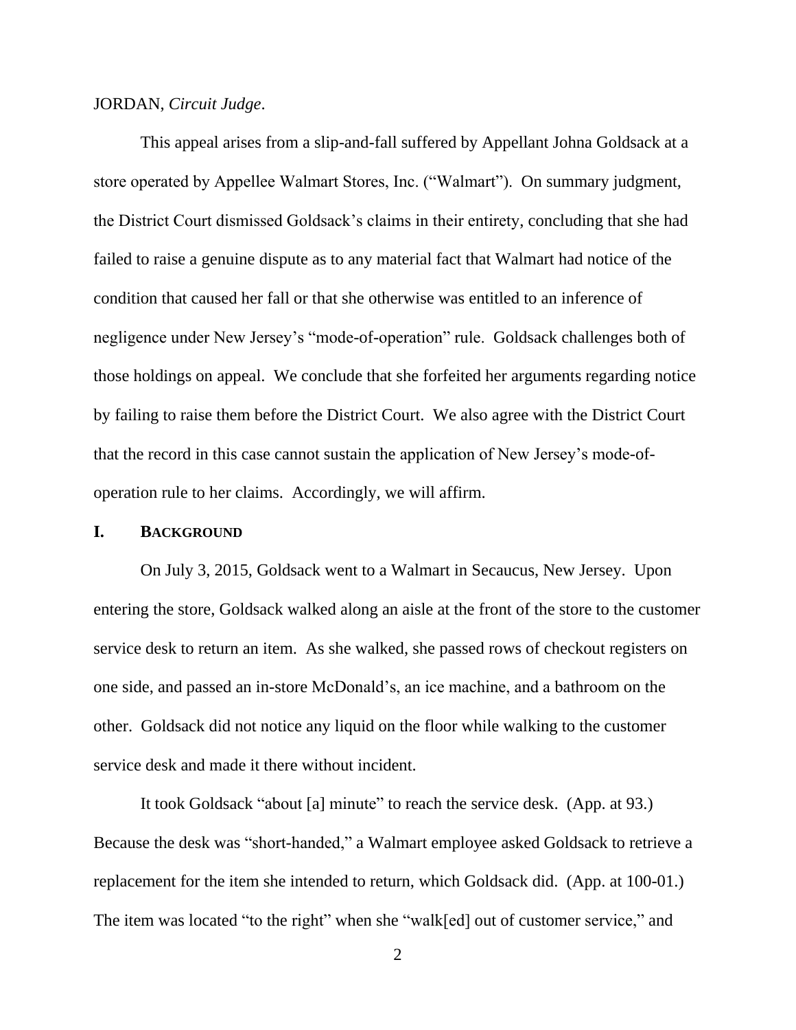#### JORDAN, *Circuit Judge*.

This appeal arises from a slip-and-fall suffered by Appellant Johna Goldsack at a store operated by Appellee Walmart Stores, Inc. ("Walmart"). On summary judgment, the District Court dismissed Goldsack's claims in their entirety, concluding that she had failed to raise a genuine dispute as to any material fact that Walmart had notice of the condition that caused her fall or that she otherwise was entitled to an inference of negligence under New Jersey's "mode-of-operation" rule. Goldsack challenges both of those holdings on appeal. We conclude that she forfeited her arguments regarding notice by failing to raise them before the District Court. We also agree with the District Court that the record in this case cannot sustain the application of New Jersey's mode-ofoperation rule to her claims. Accordingly, we will affirm.

### **I. BACKGROUND**

On July 3, 2015, Goldsack went to a Walmart in Secaucus, New Jersey. Upon entering the store, Goldsack walked along an aisle at the front of the store to the customer service desk to return an item. As she walked, she passed rows of checkout registers on one side, and passed an in-store McDonald's, an ice machine, and a bathroom on the other. Goldsack did not notice any liquid on the floor while walking to the customer service desk and made it there without incident.

It took Goldsack "about [a] minute" to reach the service desk. (App. at 93.) Because the desk was "short-handed," a Walmart employee asked Goldsack to retrieve a replacement for the item she intended to return, which Goldsack did. (App. at 100-01.) The item was located "to the right" when she "walk[ed] out of customer service," and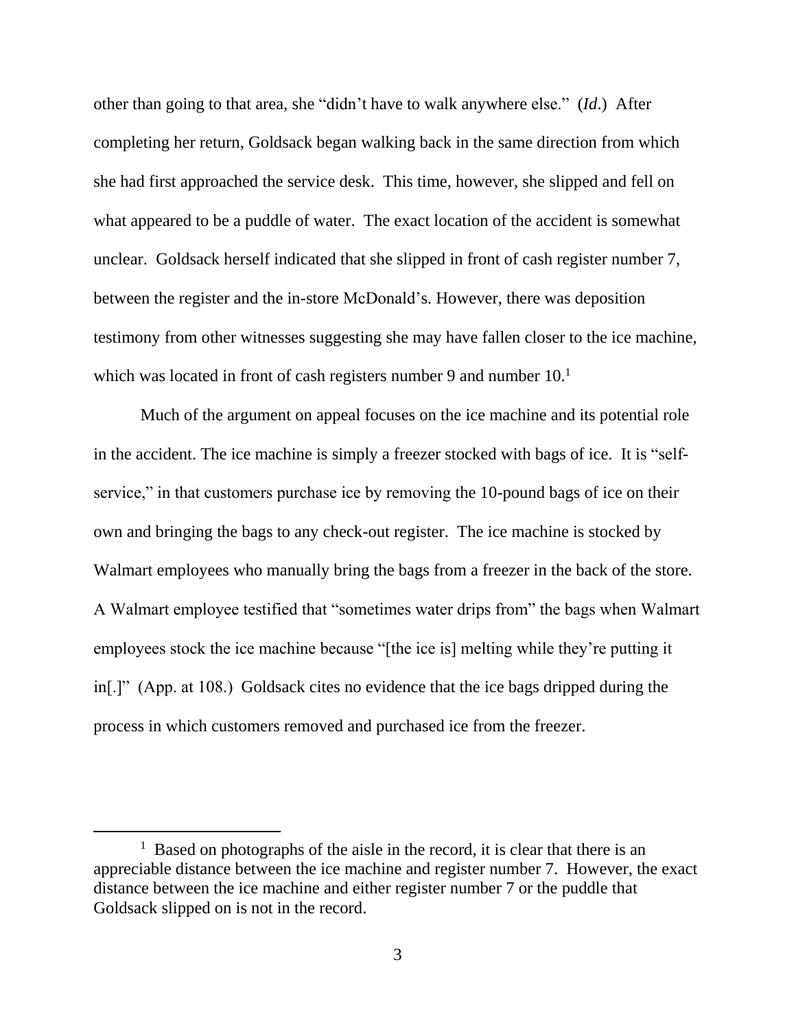other than going to that area, she "didn't have to walk anywhere else." (*Id*.) After completing her return, Goldsack began walking back in the same direction from which she had first approached the service desk. This time, however, she slipped and fell on what appeared to be a puddle of water. The exact location of the accident is somewhat unclear.Goldsack herself indicated that she slipped in front of cash register number 7, between the register and the in-store McDonald's. However, there was deposition testimony from other witnesses suggesting she may have fallen closer to the ice machine, which was located in front of cash registers number 9 and number  $10<sup>1</sup>$ 

Much of the argument on appeal focuses on the ice machine and its potential role in the accident. The ice machine is simply a freezer stocked with bags of ice. It is "selfservice," in that customers purchase ice by removing the 10-pound bags of ice on their own and bringing the bags to any check-out register. The ice machine is stocked by Walmart employees who manually bring the bags from a freezer in the back of the store. A Walmart employee testified that "sometimes water drips from" the bags when Walmart employees stock the ice machine because "[the ice is] melting while they're putting it in[.]" (App. at 108.) Goldsack cites no evidence that the ice bags dripped during the process in which customers removed and purchased ice from the freezer.

<sup>&</sup>lt;sup>1</sup> Based on photographs of the aisle in the record, it is clear that there is an appreciable distance between the ice machine and register number 7.However, the exact distance between the ice machine and either register number 7 or the puddle that Goldsack slipped on is not in the record.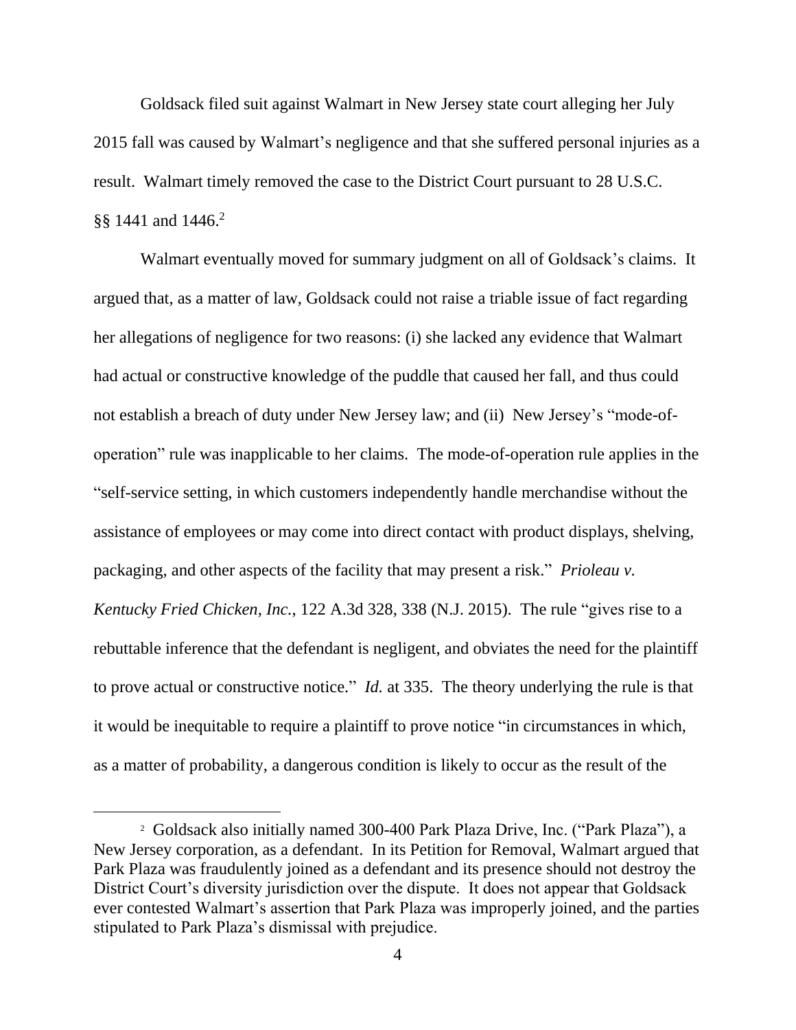Goldsack filed suit against Walmart in New Jersey state court alleging her July 2015 fall was caused by Walmart's negligence and that she suffered personal injuries as a result. Walmart timely removed the case to the District Court pursuant to 28 U.S.C. §§ 1441 and 1446.<sup>2</sup>

Walmart eventually moved for summary judgment on all of Goldsack's claims. It argued that, as a matter of law, Goldsack could not raise a triable issue of fact regarding her allegations of negligence for two reasons: (i) she lacked any evidence that Walmart had actual or constructive knowledge of the puddle that caused her fall, and thus could not establish a breach of duty under New Jersey law; and (ii) New Jersey's "mode-ofoperation" rule was inapplicable to her claims. The mode-of-operation rule applies in the "self-service setting, in which customers independently handle merchandise without the assistance of employees or may come into direct contact with product displays, shelving, packaging, and other aspects of the facility that may present a risk." *Prioleau v. Kentucky Fried Chicken, Inc.*, 122 A.3d 328, 338 (N.J. 2015). The rule "gives rise to a rebuttable inference that the defendant is negligent, and obviates the need for the plaintiff to prove actual or constructive notice." *Id.* at 335. The theory underlying the rule is that it would be inequitable to require a plaintiff to prove notice "in circumstances in which, as a matter of probability, a dangerous condition is likely to occur as the result of the

<sup>2</sup> Goldsack also initially named 300-400 Park Plaza Drive, Inc. ("Park Plaza"), a New Jersey corporation, as a defendant. In its Petition for Removal, Walmart argued that Park Plaza was fraudulently joined as a defendant and its presence should not destroy the District Court's diversity jurisdiction over the dispute. It does not appear that Goldsack ever contested Walmart's assertion that Park Plaza was improperly joined, and the parties stipulated to Park Plaza's dismissal with prejudice.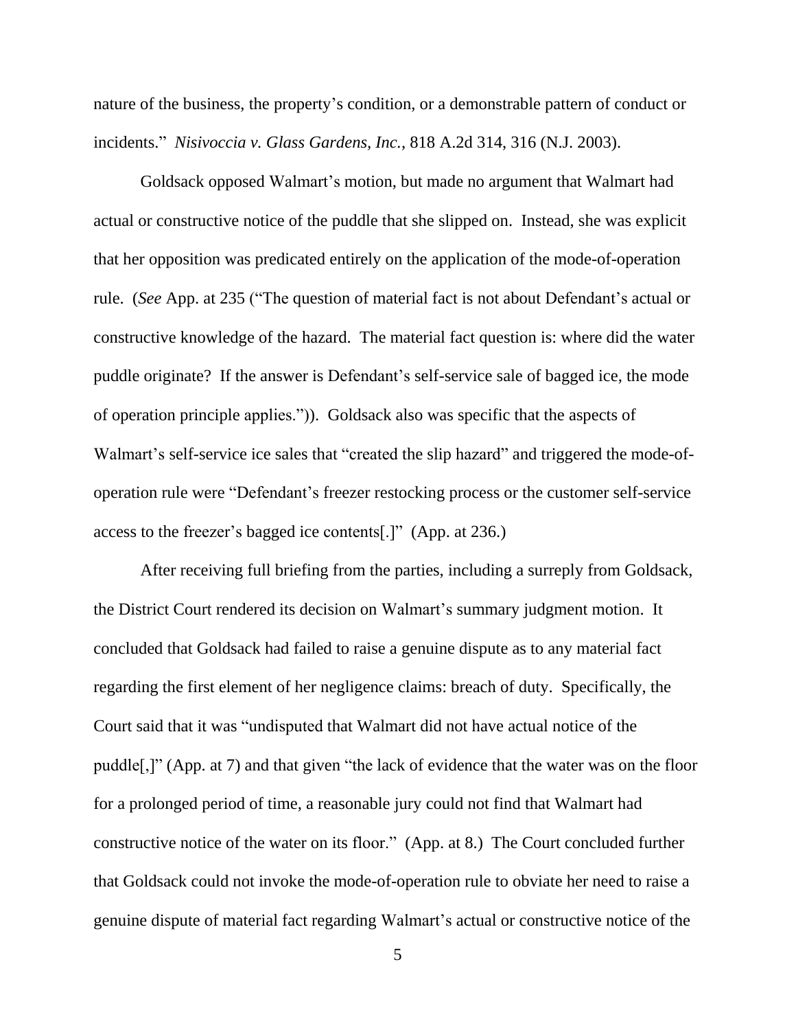nature of the business, the property's condition, or a demonstrable pattern of conduct or incidents." *Nisivoccia v. Glass Gardens, Inc.*, 818 A.2d 314, 316 (N.J. 2003).

Goldsack opposed Walmart's motion, but made no argument that Walmart had actual or constructive notice of the puddle that she slipped on. Instead, she was explicit that her opposition was predicated entirely on the application of the mode-of-operation rule. (*See* App. at 235 ("The question of material fact is not about Defendant's actual or constructive knowledge of the hazard. The material fact question is: where did the water puddle originate? If the answer is Defendant's self-service sale of bagged ice, the mode of operation principle applies.")). Goldsack also was specific that the aspects of Walmart's self-service ice sales that "created the slip hazard" and triggered the mode-ofoperation rule were "Defendant's freezer restocking process or the customer self-service access to the freezer's bagged ice contents[.]" (App. at 236.)

After receiving full briefing from the parties, including a surreply from Goldsack, the District Court rendered its decision on Walmart's summary judgment motion. It concluded that Goldsack had failed to raise a genuine dispute as to any material fact regarding the first element of her negligence claims: breach of duty. Specifically, the Court said that it was "undisputed that Walmart did not have actual notice of the puddle[,]" (App. at 7) and that given "the lack of evidence that the water was on the floor for a prolonged period of time, a reasonable jury could not find that Walmart had constructive notice of the water on its floor." (App. at 8.) The Court concluded further that Goldsack could not invoke the mode-of-operation rule to obviate her need to raise a genuine dispute of material fact regarding Walmart's actual or constructive notice of the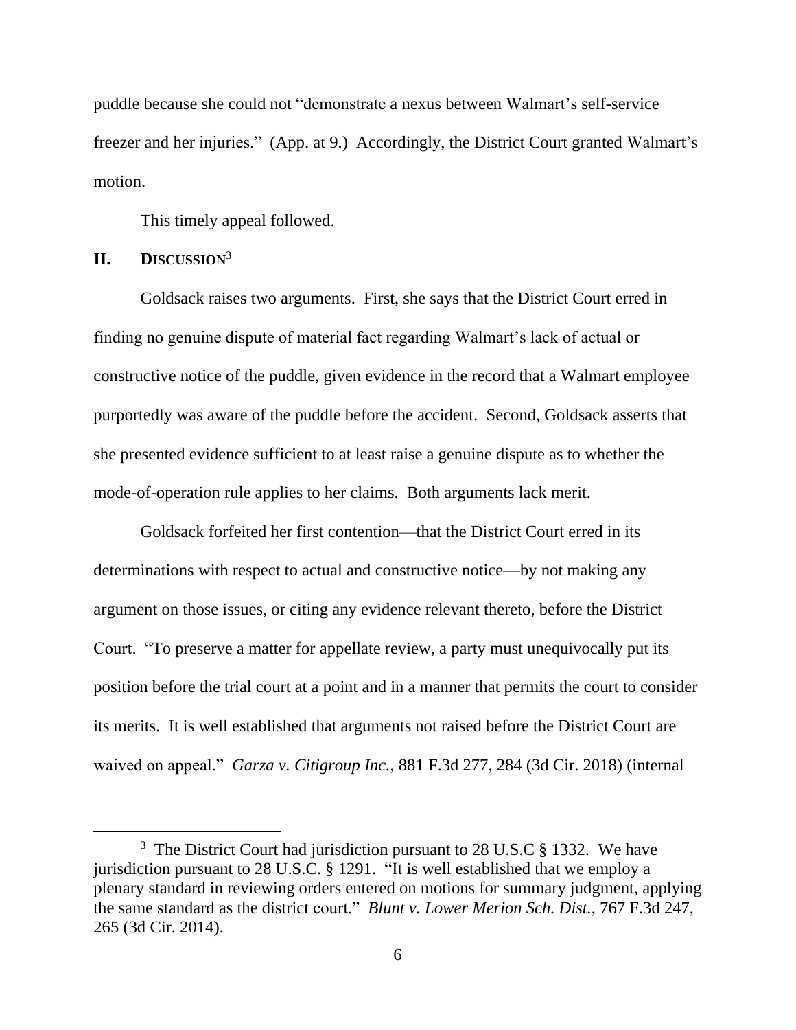puddle because she could not "demonstrate a nexus between Walmart's self-service freezer and her injuries." (App. at 9.) Accordingly, the District Court granted Walmart's motion.

This timely appeal followed.

### **II. DISCUSSION**<sup>3</sup>

Goldsack raises two arguments. First, she says that the District Court erred in finding no genuine dispute of material fact regarding Walmart's lack of actual or constructive notice of the puddle, given evidence in the record that a Walmart employee purportedly was aware of the puddle before the accident. Second, Goldsack asserts that she presented evidence sufficient to at least raise a genuine dispute as to whether the mode-of-operation rule applies to her claims. Both arguments lack merit.

Goldsack forfeited her first contention—that the District Court erred in its determinations with respect to actual and constructive notice—by not making any argument on those issues, or citing any evidence relevant thereto, before the District Court. "To preserve a matter for appellate review, a party must unequivocally put its position before the trial court at a point and in a manner that permits the court to consider its merits. It is well established that arguments not raised before the District Court are waived on appeal." *Garza v. Citigroup Inc.*, 881 F.3d 277, 284 (3d Cir. 2018) (internal

<sup>&</sup>lt;sup>3</sup> The District Court had jurisdiction pursuant to 28 U.S.C  $\S$  1332. We have jurisdiction pursuant to 28 U.S.C. § 1291. "It is well established that we employ a plenary standard in reviewing orders entered on motions for summary judgment, applying the same standard as the district court." *Blunt v. Lower Merion Sch. Dist.*, 767 F.3d 247, 265 (3d Cir. 2014).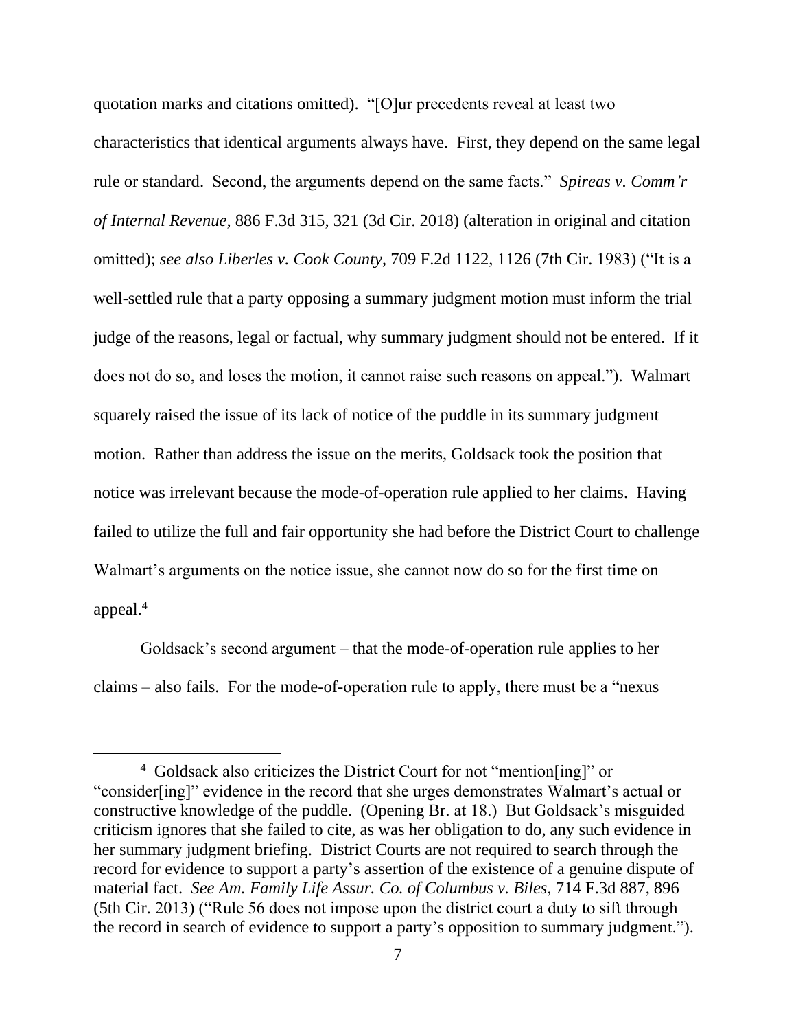quotation marks and citations omitted). "[O]ur precedents reveal at least two characteristics that identical arguments always have. First, they depend on the same legal rule or standard. Second, the arguments depend on the same facts." *Spireas v. Comm'r of Internal Revenue*, 886 F.3d 315, 321 (3d Cir. 2018) (alteration in original and citation omitted); *see also Liberles v. Cook County*, 709 F.2d 1122, 1126 (7th Cir. 1983) ("It is a well-settled rule that a party opposing a summary judgment motion must inform the trial judge of the reasons, legal or factual, why summary judgment should not be entered. If it does not do so, and loses the motion, it cannot raise such reasons on appeal."). Walmart squarely raised the issue of its lack of notice of the puddle in its summary judgment motion. Rather than address the issue on the merits, Goldsack took the position that notice was irrelevant because the mode-of-operation rule applied to her claims. Having failed to utilize the full and fair opportunity she had before the District Court to challenge Walmart's arguments on the notice issue, she cannot now do so for the first time on appeal.<sup>4</sup>

Goldsack's second argument – that the mode-of-operation rule applies to her claims – also fails. For the mode-of-operation rule to apply, there must be a "nexus

 $\overline{a}$ 

<sup>4</sup> Goldsack also criticizes the District Court for not "mention[ing]" or "consider[ing]" evidence in the record that she urges demonstrates Walmart's actual or constructive knowledge of the puddle. (Opening Br. at 18.) But Goldsack's misguided criticism ignores that she failed to cite, as was her obligation to do, any such evidence in her summary judgment briefing. District Courts are not required to search through the record for evidence to support a party's assertion of the existence of a genuine dispute of material fact. *See Am. Family Life Assur. Co. of Columbus v. Biles*, 714 F.3d 887, 896 (5th Cir. 2013) ("Rule 56 does not impose upon the district court a duty to sift through the record in search of evidence to support a party's opposition to summary judgment.").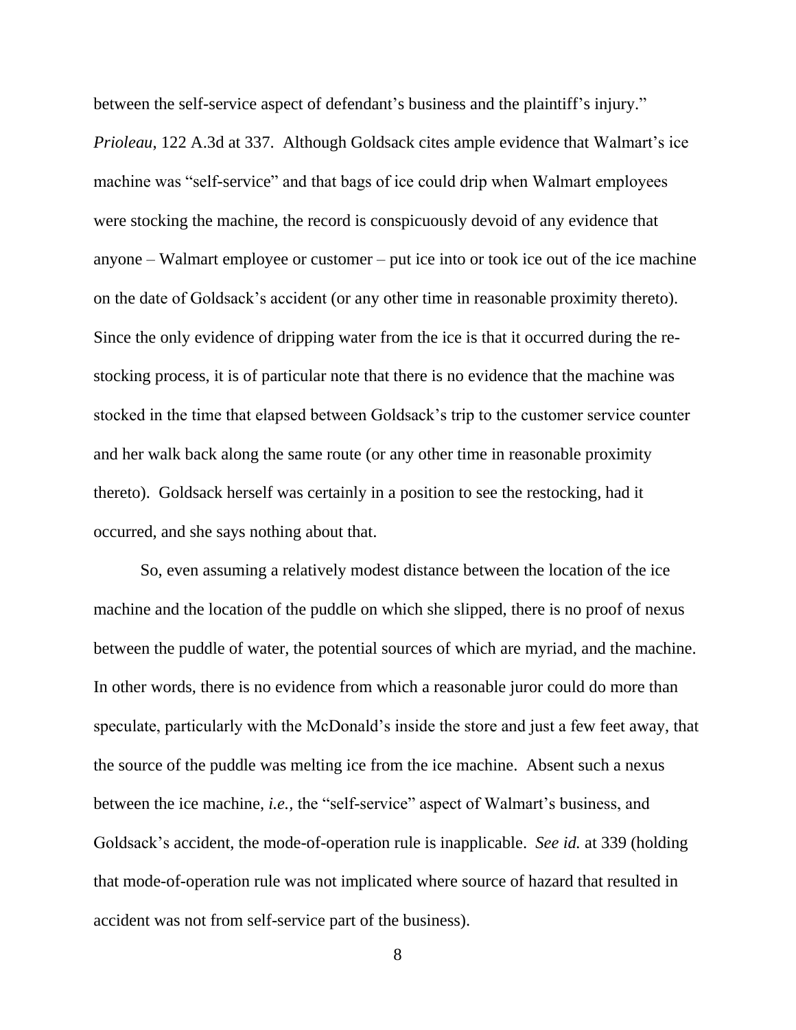between the self-service aspect of defendant's business and the plaintiff's injury." *Prioleau*, 122 A.3d at 337. Although Goldsack cites ample evidence that Walmart's ice machine was "self-service" and that bags of ice could drip when Walmart employees were stocking the machine, the record is conspicuously devoid of any evidence that anyone – Walmart employee or customer – put ice into or took ice out of the ice machine on the date of Goldsack's accident (or any other time in reasonable proximity thereto). Since the only evidence of dripping water from the ice is that it occurred during the restocking process, it is of particular note that there is no evidence that the machine was stocked in the time that elapsed between Goldsack's trip to the customer service counter and her walk back along the same route (or any other time in reasonable proximity thereto). Goldsack herself was certainly in a position to see the restocking, had it occurred, and she says nothing about that.

So, even assuming a relatively modest distance between the location of the ice machine and the location of the puddle on which she slipped, there is no proof of nexus between the puddle of water, the potential sources of which are myriad, and the machine. In other words, there is no evidence from which a reasonable juror could do more than speculate, particularly with the McDonald's inside the store and just a few feet away, that the source of the puddle was melting ice from the ice machine. Absent such a nexus between the ice machine, *i.e.,* the "self-service" aspect of Walmart's business, and Goldsack's accident, the mode-of-operation rule is inapplicable. *See id.* at 339 (holding that mode-of-operation rule was not implicated where source of hazard that resulted in accident was not from self-service part of the business).